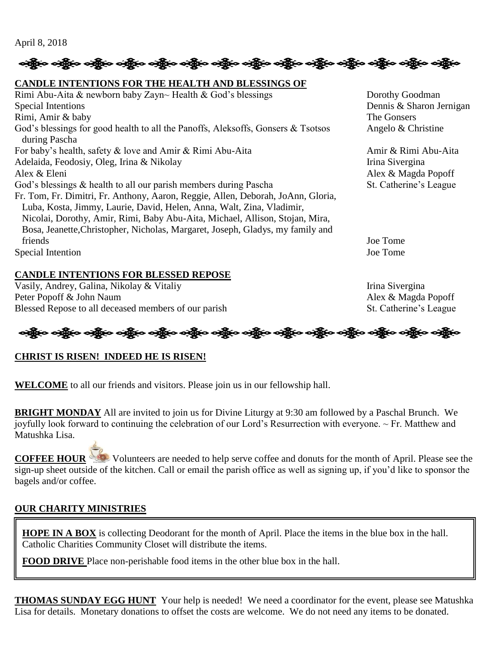April 8, 2018

## ဆို့ပြီးဝ ခရွိ**့ ခရိုင် ခရိုင် ခရိုင် ခရိုင် ခရိုင် ခရိုင် ခရိုင် ခရိုင် ခရိုင် ခရိုင် ခရိုင် ခရိုင် ခရိုင်**

#### **CANDLE INTENTIONS FOR THE HEALTH AND BLESSINGS OF**

Rimi Abu-Aita & newborn baby Zayn~ Health & God's blessings Dorothy Goodman Special Intentions Dennis & Sharon Jernigan Rimi, Amir & baby The Gonsers God's blessings for good health to all the Panoffs, Aleksoffs, Gonsers & Tsotsos Angelo & Christine during Pascha For baby's health, safety & love and Amir & Rimi Abu-Aita Amir & Rimi Abu-Aita Adelaida, Feodosiy, Oleg, Irina & Nikolay Irina Sivergina Alex & Eleni Alex & Magda Popoff God's blessings & health to all our parish members during Pascha St. Catherine's League Fr. Tom, Fr. Dimitri, Fr. Anthony, Aaron, Reggie, Allen, Deborah, JoAnn, Gloria, Luba, Kosta, Jimmy, Laurie, David, Helen, Anna, Walt, Zina, Vladimir, Nicolai, Dorothy, Amir, Rimi, Baby Abu-Aita, Michael, Allison, Stojan, Mira, Bosa, Jeanette,Christopher, Nicholas, Margaret, Joseph, Gladys, my family and friends Joe Tome Special Intention Joe Tome

#### **CANDLE INTENTIONS FOR BLESSED REPOSE**

Vasily, Andrey, Galina, Nikolay & Vitaliy **Irina Sivergina** Irina Sivergina Peter Popoff & John Naum Alex & Magda Popoff Blessed Repose to all deceased members of our parish St. Catherine's League

# **ပဏ္သို့ေ ပဏ္သို့ေ ပဏ္သို့ေ ပဏ္သို့ေ ပဏ္သို့ေ ပဏ္သို့ေ ပဏ္သို့ေ ပဏ္သို့ေ ပဏ္သို့ေ ပဏ္သို့ေ ပဏ္သို့ေ ပဏ္သို့ေ**

## **CHRIST IS RISEN! INDEED HE IS RISEN!**

**WELCOME** to all our friends and visitors. Please join us in our fellowship hall.

**BRIGHT MONDAY** All are invited to join us for Divine Liturgy at 9:30 am followed by a Paschal Brunch. We joyfully look forward to continuing the celebration of our Lord's Resurrection with everyone. ~ Fr. Matthew and Matushka Lisa.

**COFFEE HOUR** Volunteers are needed to help serve coffee and donuts for the month of April. Please see the sign-up sheet outside of the kitchen. Call or email the parish office as well as signing up, if you'd like to sponsor the bagels and/or coffee.

## **OUR CHARITY MINISTRIES**

**HOPE IN A BOX** is collecting Deodorant for the month of April. Place the items in the blue box in the hall. Catholic Charities Community Closet will distribute the items.

**FOOD DRIVE** Place non-perishable food items in the other blue box in the hall.

**THOMAS SUNDAY EGG HUNT** Your help is needed! We need a coordinator for the event, please see Matushka Lisa for details. Monetary donations to offset the costs are welcome. We do not need any items to be donated.